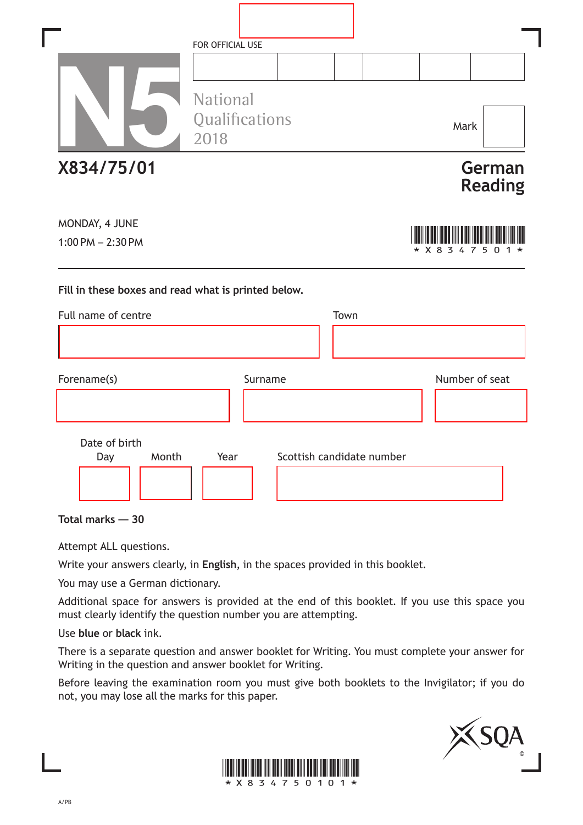|                                                     | FOR OFFICIAL USE                   |                           |                           |
|-----------------------------------------------------|------------------------------------|---------------------------|---------------------------|
|                                                     | National<br>Qualifications<br>2018 |                           | Mark                      |
| X834/75/01                                          |                                    |                           | German<br><b>Reading</b>  |
| MONDAY, 4 JUNE<br>$1:00$ PM $- 2:30$ PM             |                                    |                           | * X 8<br>3<br>5<br>n<br>7 |
| Fill in these boxes and read what is printed below. |                                    |                           |                           |
| Full name of centre                                 |                                    | Town                      |                           |
| Forename(s)                                         | Surname                            |                           | Number of seat            |
| Date of birth<br>Month<br>Day                       | Year                               | Scottish candidate number |                           |

٦

**Total marks — 30**

Attempt ALL questions.

Write your answers clearly, in **English**, in the spaces provided in this booklet.

You may use a German dictionary.

Additional space for answers is provided at the end of this booklet. If you use this space you must clearly identify the question number you are attempting.

Use **blue** or **black** ink.

There is a separate question and answer booklet for Writing. You must complete your answer for Writing in the question and answer booklet for Writing.

Before leaving the examination room you must give both booklets to the Invigilator; if you do not, you may lose all the marks for this paper.



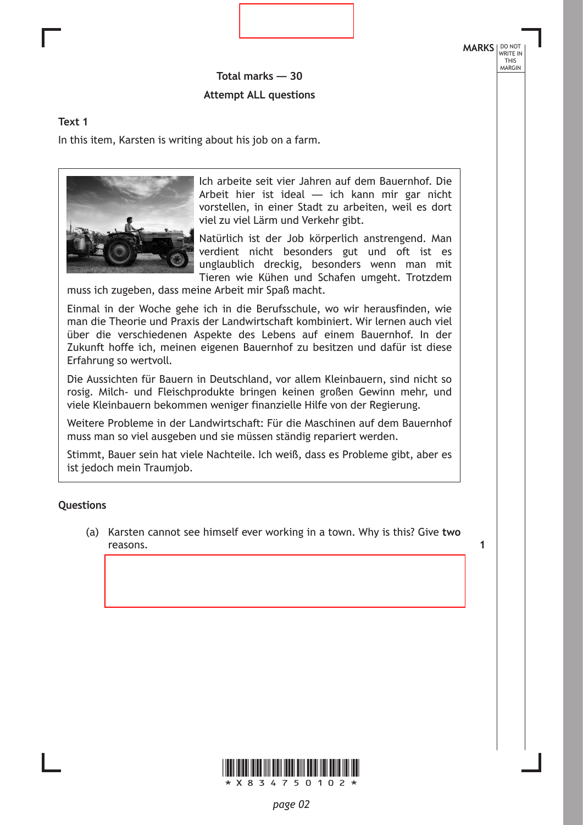**Total marks — 30 Attempt ALL questions**

#### **Text 1**

In this item, Karsten is writing about his job on a farm.



Ich arbeite seit vier Jahren auf dem Bauernhof. Die Arbeit hier ist ideal — ich kann mir gar nicht vorstellen, in einer Stadt zu arbeiten, weil es dort viel zu viel Lärm und Verkehr gibt.

Natürlich ist der Job körperlich anstrengend. Man verdient nicht besonders gut und oft ist es unglaublich dreckig, besonders wenn man mit Tieren wie Kühen und Schafen umgeht. Trotzdem

muss ich zugeben, dass meine Arbeit mir Spaß macht.

Einmal in der Woche gehe ich in die Berufsschule, wo wir herausfinden, wie man die Theorie und Praxis der Landwirtschaft kombiniert. Wir lernen auch viel über die verschiedenen Aspekte des Lebens auf einem Bauernhof. In der Zukunft hoffe ich, meinen eigenen Bauernhof zu besitzen und dafür ist diese Erfahrung so wertvoll.

Die Aussichten für Bauern in Deutschland, vor allem Kleinbauern, sind nicht so rosig. Milch- und Fleischprodukte bringen keinen großen Gewinn mehr, und viele Kleinbauern bekommen weniger finanzielle Hilfe von der Regierung.

Weitere Probleme in der Landwirtschaft: Für die Maschinen auf dem Bauernhof muss man so viel ausgeben und sie müssen ständig repariert werden.

Stimmt, Bauer sein hat viele Nachteile. Ich weiß, dass es Probleme gibt, aber es ist jedoch mein Traumjob.

#### **Questions**

(a) Karsten cannot see himself ever working in a town. Why is this? Give **two** reasons. **1**

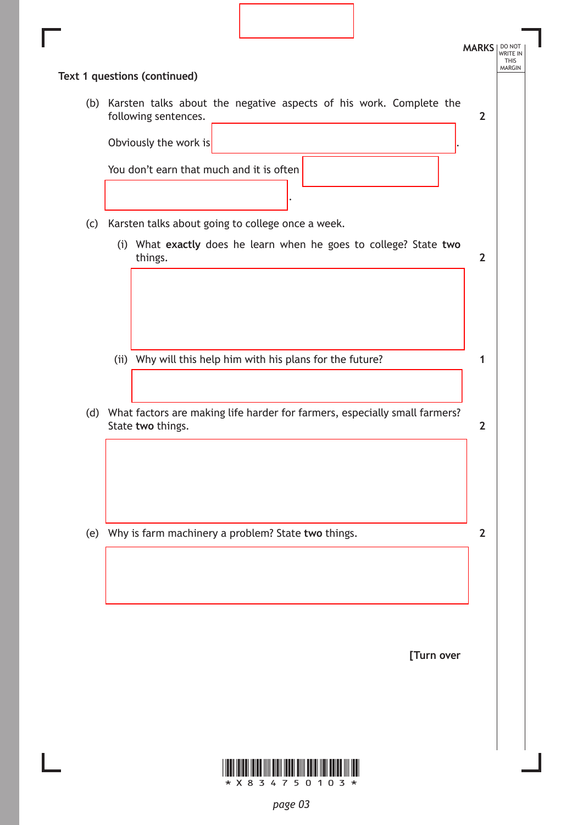|     | Text 1 questions (continued)                                                                   | <b>MARKS</b>   |
|-----|------------------------------------------------------------------------------------------------|----------------|
|     | (b) Karsten talks about the negative aspects of his work. Complete the<br>following sentences. | $\mathbf{2}$   |
|     | Obviously the work is                                                                          |                |
|     | You don't earn that much and it is often                                                       |                |
|     |                                                                                                |                |
| (c) | Karsten talks about going to college once a week.                                              |                |
|     | (i) What exactly does he learn when he goes to college? State two<br>things.                   | $\mathbf{2}$   |
|     |                                                                                                |                |
|     |                                                                                                |                |
|     | (ii) Why will this help him with his plans for the future?                                     | 1              |
|     |                                                                                                |                |
|     | (d) What factors are making life harder for farmers, especially small farmers?                 |                |
|     | State two things.                                                                              | $\overline{2}$ |
|     |                                                                                                |                |
|     |                                                                                                |                |
| (e) | Why is farm machinery a problem? State two things.                                             | $\overline{2}$ |
|     |                                                                                                |                |
|     |                                                                                                |                |
|     |                                                                                                |                |
|     |                                                                                                |                |
|     | [Turn over                                                                                     |                |
|     |                                                                                                |                |
|     |                                                                                                |                |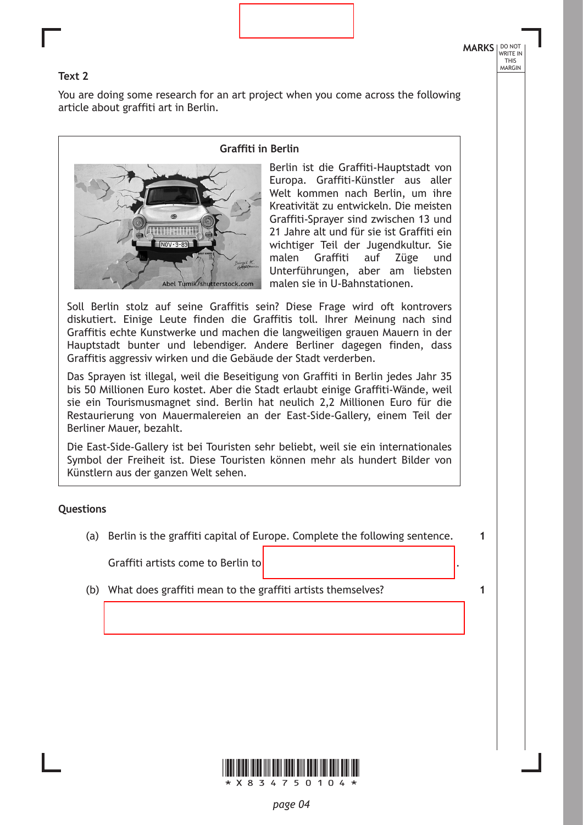**1**

**1**

#### **Text 2**

You are doing some research for an art project when you come across the following article about graffiti art in Berlin.



**Graffiti in Berlin**

Berlin ist die Graffiti-Hauptstadt von Europa. Graffiti-Künstler aus aller Welt kommen nach Berlin, um ihre Kreativität zu entwickeln. Die meisten Graffiti-Sprayer sind zwischen 13 und 21 Jahre alt und für sie ist Graffiti ein wichtiger Teil der Jugendkultur. Sie malen Graffiti auf Züge und Unterführungen, aber am liebsten malen sie in U-Bahnstationen.

Soll Berlin stolz auf seine Graffitis sein? Diese Frage wird oft kontrovers diskutiert. Einige Leute finden die Graffitis toll. Ihrer Meinung nach sind Graffitis echte Kunstwerke und machen die langweiligen grauen Mauern in der Hauptstadt bunter und lebendiger. Andere Berliner dagegen finden, dass Graffitis aggressiv wirken und die Gebäude der Stadt verderben.

Das Sprayen ist illegal, weil die Beseitigung von Graffiti in Berlin jedes Jahr 35 bis 50 Millionen Euro kostet. Aber die Stadt erlaubt einige Graffiti-Wände, weil sie ein Tourismusmagnet sind. Berlin hat neulich 2,2 Millionen Euro für die Restaurierung von Mauermalereien an der East-Side-Gallery, einem Teil der Berliner Mauer, bezahlt.

Die East-Side-Gallery ist bei Touristen sehr beliebt, weil sie ein internationales Symbol der Freiheit ist. Diese Touristen können mehr als hundert Bilder von Künstlern aus der ganzen Welt sehen.

#### **Questions**

(a) Berlin is the graffiti capital of Europe. Complete the following sentence.

Graffiti artists come to Berlin to .

(b) What does graffiti mean to the graffiti artists themselves?

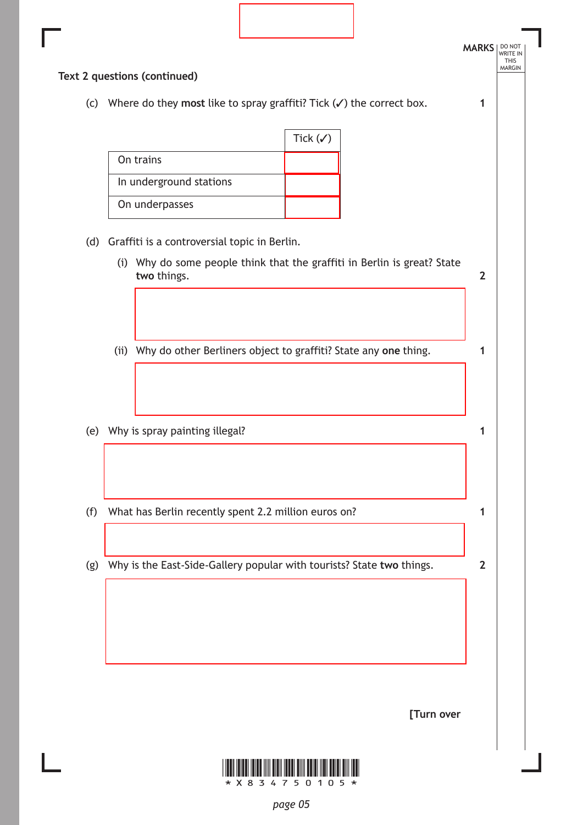|     | Text 2 questions (continued)                                                    |                                                                      |                     |                                                                          |                |
|-----|---------------------------------------------------------------------------------|----------------------------------------------------------------------|---------------------|--------------------------------------------------------------------------|----------------|
| (c) | Where do they most like to spray graffiti? Tick $(\checkmark)$ the correct box. |                                                                      |                     |                                                                          | 1              |
|     |                                                                                 |                                                                      | Tick $(\checkmark)$ |                                                                          |                |
|     | On trains                                                                       |                                                                      |                     |                                                                          |                |
|     | In underground stations                                                         |                                                                      |                     |                                                                          |                |
|     | On underpasses                                                                  |                                                                      |                     |                                                                          |                |
|     | (d) Graffiti is a controversial topic in Berlin.                                |                                                                      |                     |                                                                          |                |
|     | two things.                                                                     |                                                                      |                     | (i) Why do some people think that the graffiti in Berlin is great? State | $\overline{2}$ |
|     |                                                                                 |                                                                      |                     |                                                                          |                |
|     |                                                                                 |                                                                      |                     |                                                                          |                |
|     |                                                                                 | (ii) Why do other Berliners object to graffiti? State any one thing. |                     |                                                                          | 1              |
|     |                                                                                 |                                                                      |                     |                                                                          |                |
|     |                                                                                 |                                                                      |                     |                                                                          |                |
|     | (e) Why is spray painting illegal?                                              |                                                                      |                     |                                                                          | 1              |
|     |                                                                                 |                                                                      |                     |                                                                          |                |
|     |                                                                                 |                                                                      |                     |                                                                          |                |
| (f) | What has Berlin recently spent 2.2 million euros on?                            |                                                                      |                     |                                                                          | 1              |
|     |                                                                                 |                                                                      |                     |                                                                          |                |
| (g) | Why is the East-Side-Gallery popular with tourists? State two things.           |                                                                      |                     |                                                                          | $\overline{2}$ |
|     |                                                                                 |                                                                      |                     |                                                                          |                |
|     |                                                                                 |                                                                      |                     |                                                                          |                |
|     |                                                                                 |                                                                      |                     |                                                                          |                |
|     |                                                                                 |                                                                      |                     |                                                                          |                |
|     |                                                                                 |                                                                      |                     | [Turn over                                                               |                |

*page 05*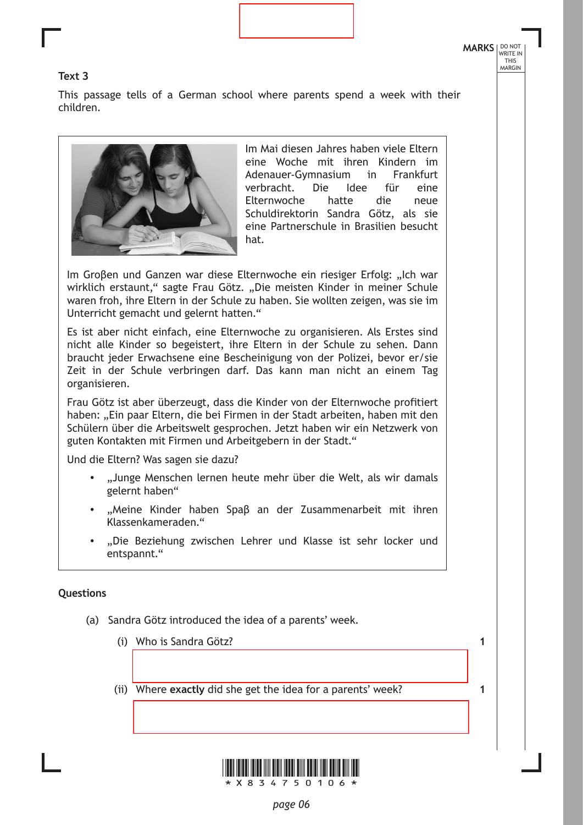**1**

**1**

#### **Text 3**

This passage tells of a German school where parents spend a week with their children.



Im Mai diesen Jahres haben viele Eltern eine Woche mit ihren Kindern im Adenauer-Gymnasium in Frankfurt verbracht. Die Idee für eine Elternwoche hatte die neue Schuldirektorin Sandra Götz, als sie eine Partnerschule in Brasilien besucht hat.

Im Groβen und Ganzen war diese Elternwoche ein riesiger Erfolg: "Ich war wirklich erstaunt," sagte Frau Götz. "Die meisten Kinder in meiner Schule waren froh, ihre Eltern in der Schule zu haben. Sie wollten zeigen, was sie im Unterricht gemacht und gelernt hatten."

Es ist aber nicht einfach, eine Elternwoche zu organisieren. Als Erstes sind nicht alle Kinder so begeistert, ihre Eltern in der Schule zu sehen. Dann braucht jeder Erwachsene eine Bescheinigung von der Polizei, bevor er/sie Zeit in der Schule verbringen darf. Das kann man nicht an einem Tag organisieren.

Frau Götz ist aber überzeugt, dass die Kinder von der Elternwoche profitiert haben: "Ein paar Eltern, die bei Firmen in der Stadt arbeiten, haben mit den Schülern über die Arbeitswelt gesprochen. Jetzt haben wir ein Netzwerk von guten Kontakten mit Firmen und Arbeitgebern in der Stadt."

Und die Eltern? Was sagen sie dazu?

- "Junge Menschen lernen heute mehr über die Welt, als wir damals gelernt haben"
- "Meine Kinder haben Spaβ an der Zusammenarbeit mit ihren Klassenkameraden."
- "Die Beziehung zwischen Lehrer und Klasse ist sehr locker und entspannt."

#### **Questions**

- (a) Sandra Götz introduced the idea of a parents' week.
	- (i) Who is Sandra Götz?
	- (ii) Where **exactly** did she get the idea for a parents' week?



\*X834750106\*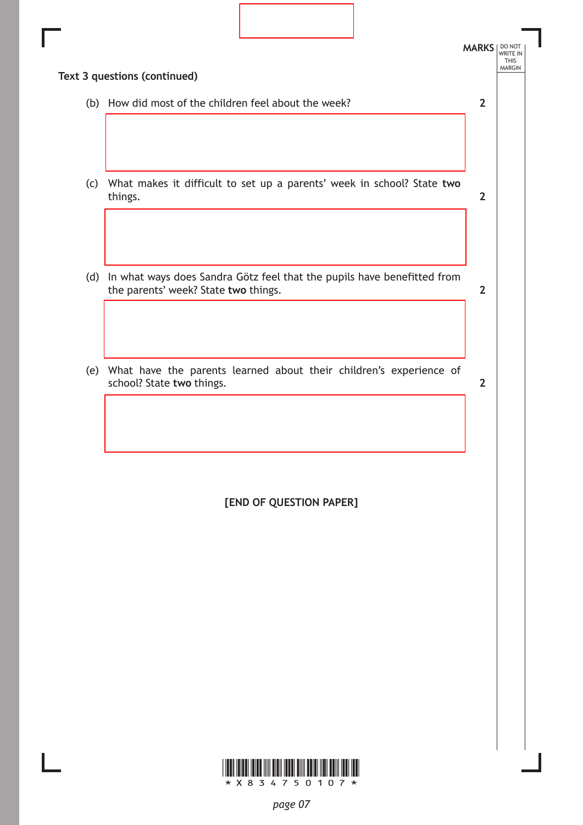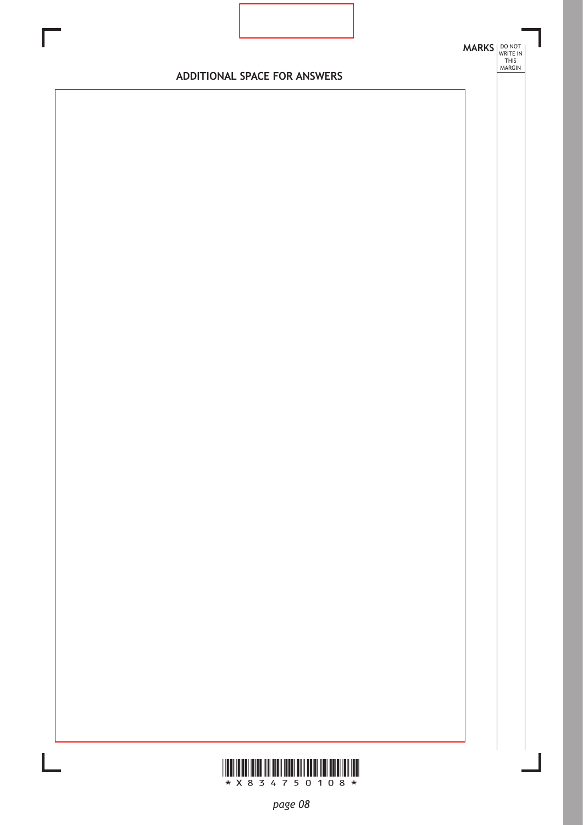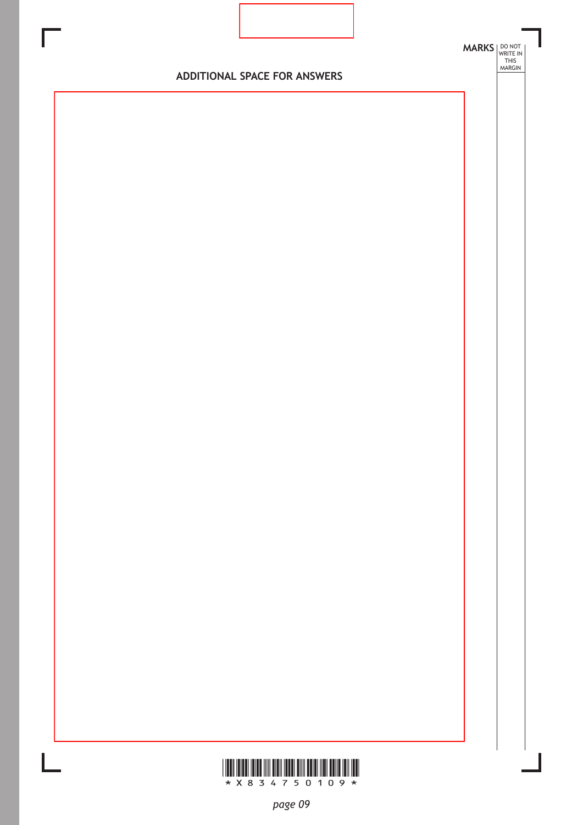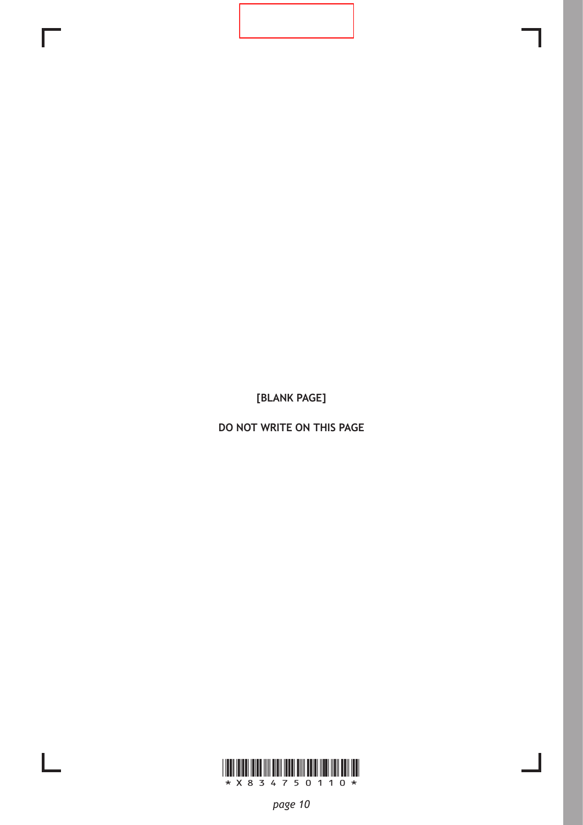**[BLANK PAGE]**

**DO NOT WRITE ON THIS PAGE**

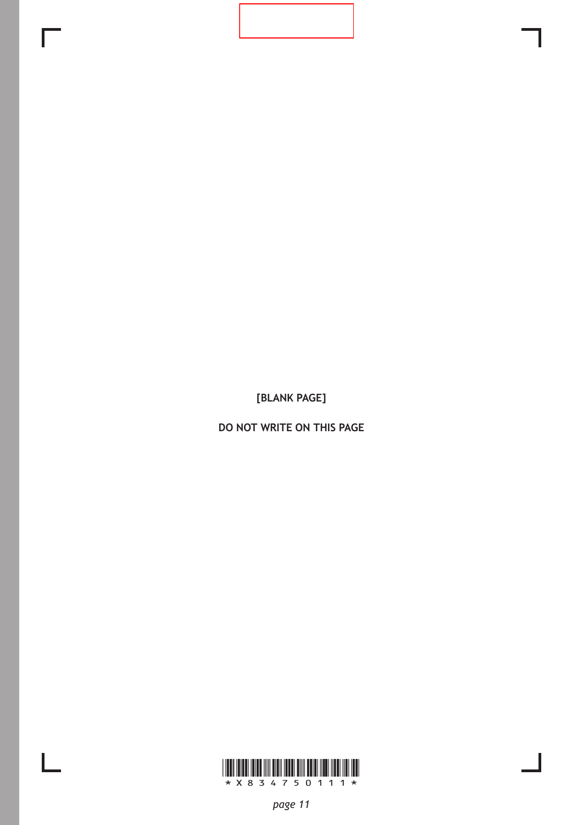**[BLANK PAGE]**

**DO NOT WRITE ON THIS PAGE**



 $\mathbf{L}$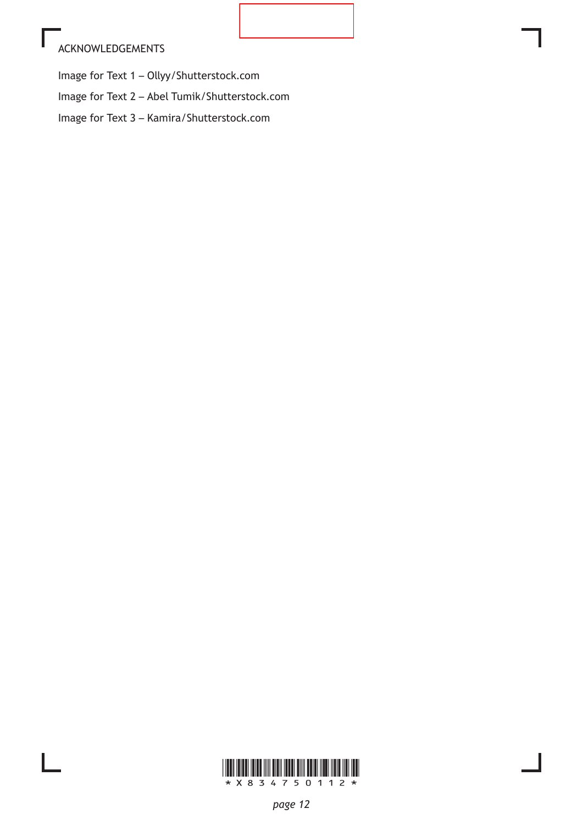# ACKNOWLEDGEMENTS

Image for Text 1 – Ollyy/Shutterstock.com

Image for Text 2 – Abel Tumik/Shutterstock.com

Image for Text 3 – Kamira/Shutterstock.com

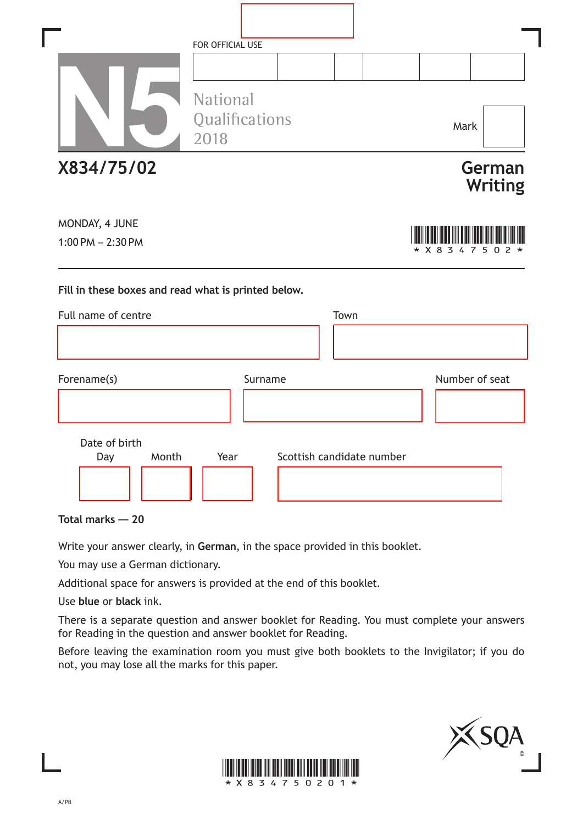|                                                     | FOR OFFICIAL USE                          |                           |                            |
|-----------------------------------------------------|-------------------------------------------|---------------------------|----------------------------|
|                                                     | <b>National</b><br>Qualifications<br>2018 |                           | Mark                       |
| X834/75/02                                          |                                           |                           | German<br><b>Writing</b>   |
| MONDAY, 4 JUNE<br>$1:00$ PM $- 2:30$ PM             |                                           |                           | * X 8 3 4 7<br>5<br>0<br>2 |
| Fill in these boxes and read what is printed below. |                                           |                           |                            |
| Full name of centre                                 |                                           | Town                      |                            |
| Forename(s)                                         | Surname                                   |                           | Number of seat             |
| Date of birth<br>Month<br>Day                       | Year                                      | Scottish candidate number |                            |

**Total marks — 20**

Write your answer clearly, in **German**, in the space provided in this booklet.

You may use a German dictionary.

Additional space for answers is provided at the end of this booklet.

Use **blue** or **black** ink.

There is a separate question and answer booklet for Reading. You must complete your answers for Reading in the question and answer booklet for Reading.

Before leaving the examination room you must give both booklets to the Invigilator; if you do not, you may lose all the marks for this paper.



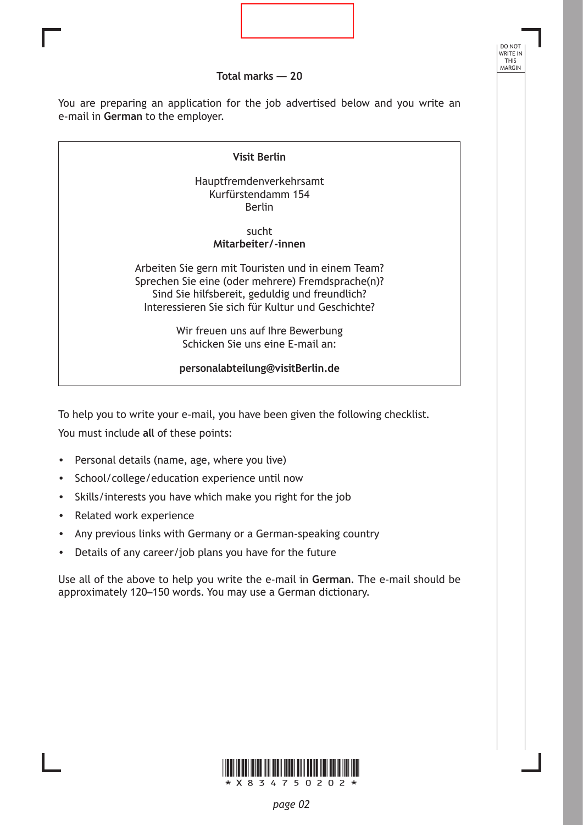**Total marks — 20**

DO NOT WRITE IN THIS MARGIN

You are preparing an application for the job advertised below and you write an e-mail in **German** to the employer.

#### **Visit Berlin**

Hauptfremdenverkehrsamt Kurfürstendamm 154 Berlin

> sucht **Mitarbeiter/-innen**

Arbeiten Sie gern mit Touristen und in einem Team? Sprechen Sie eine (oder mehrere) Fremdsprache(n)? Sind Sie hilfsbereit, geduldig und freundlich? Interessieren Sie sich für Kultur und Geschichte?

> Wir freuen uns auf Ihre Bewerbung Schicken Sie uns eine E-mail an:

**personalabteilung@visitBerlin.de**

To help you to write your e-mail, you have been given the following checklist. You must include **all** of these points:

- Personal details (name, age, where you live)
- School/college/education experience until now
- Skills/interests you have which make you right for the job
- Related work experience
- Any previous links with Germany or a German-speaking country
- Details of any career/job plans you have for the future

Use all of the above to help you write the e-mail in **German**. The e-mail should be approximately 120–150 words. You may use a German dictionary.

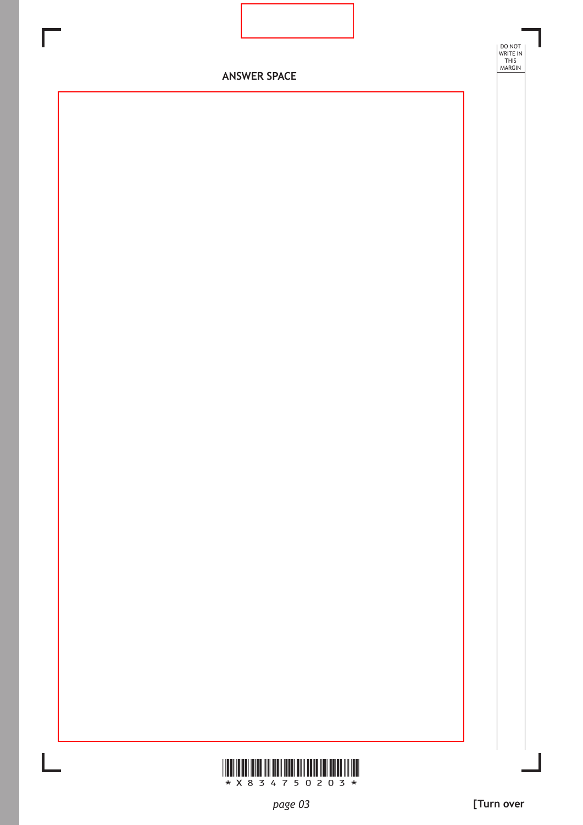



DO NOT WRITE IN THIS MARGIN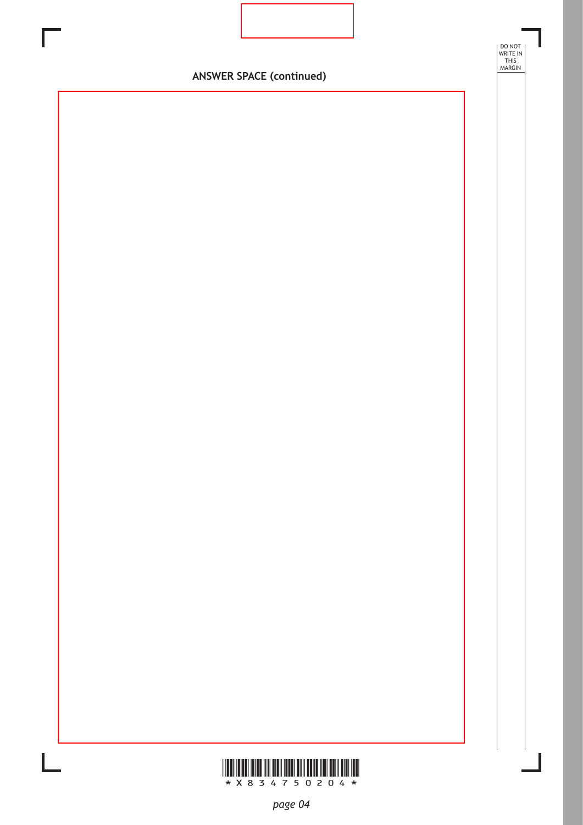**ANSWER SPACE (continued)**

DO NOT WRITE IN THIS MARGIN

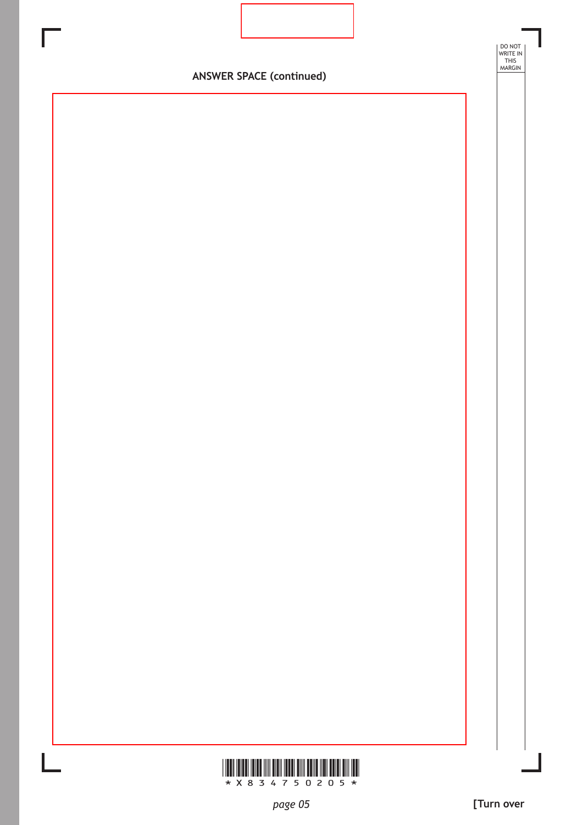

### **ANSWER SPACE (continued)**

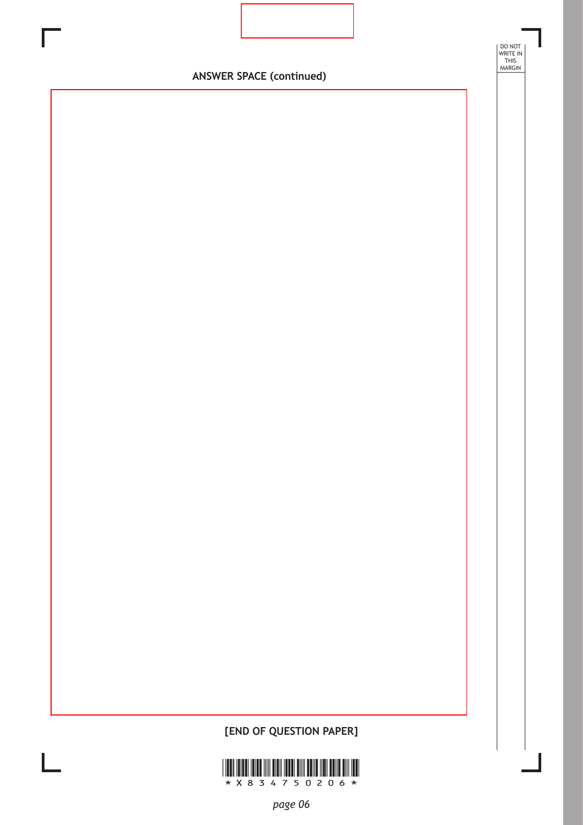

DO NOT WRITE IN THIS MARGIN

## **[END OF QUESTION PAPER]**

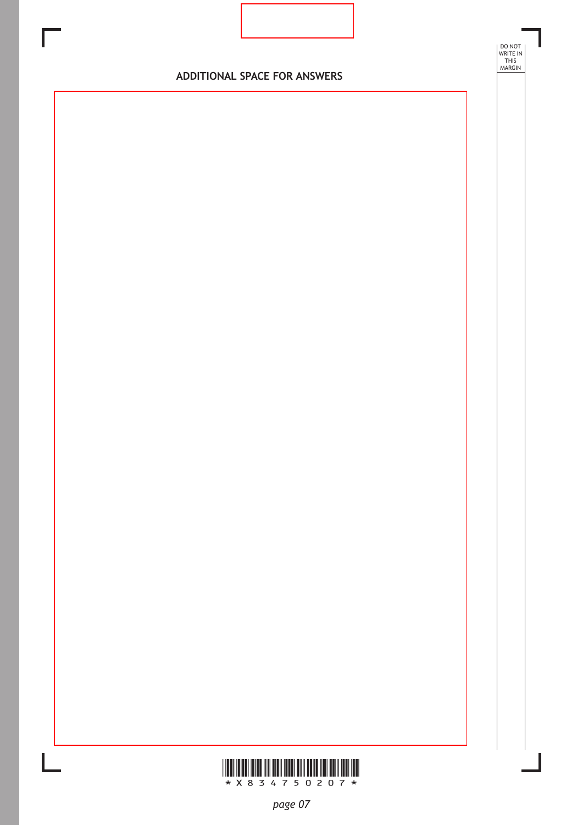



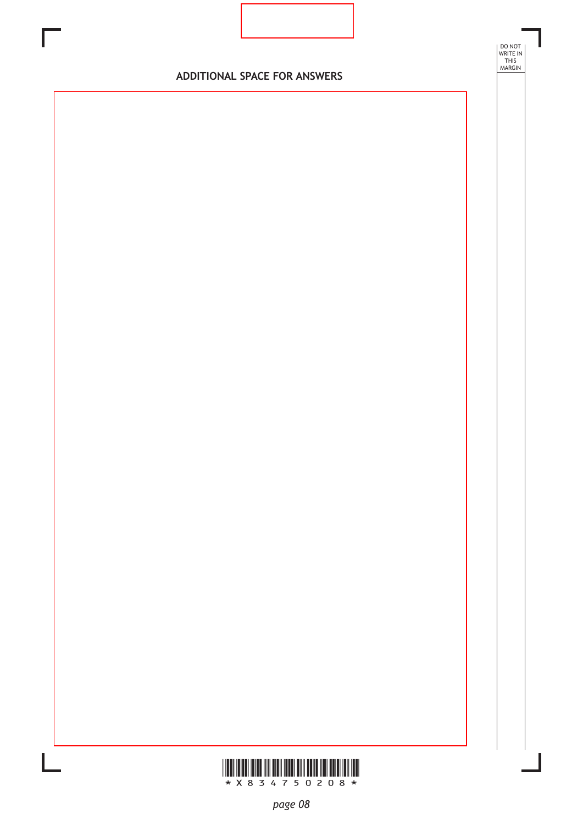

DO NOT WRITE IN THIS MARGIN

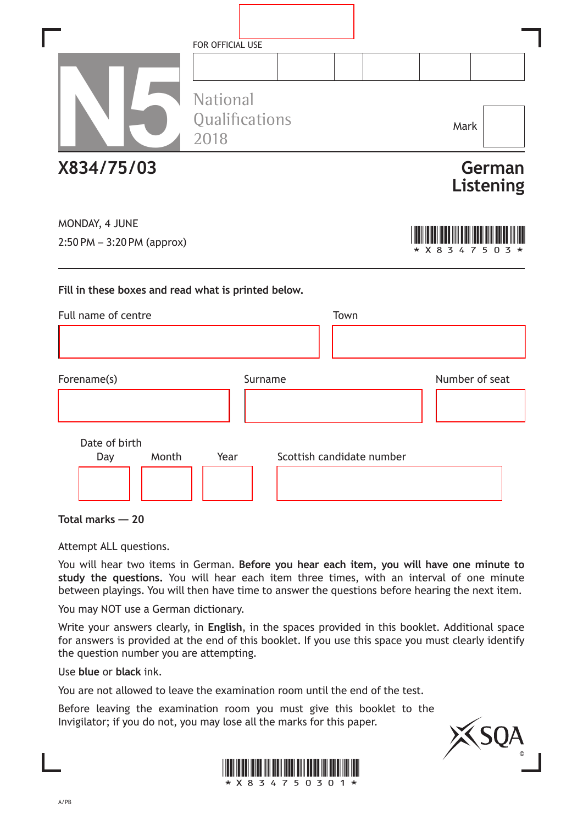|                                                     | FOR OFFICIAL USE                          |         |                           |      |         |                     |
|-----------------------------------------------------|-------------------------------------------|---------|---------------------------|------|---------|---------------------|
|                                                     | <b>National</b><br>Qualifications<br>2018 |         |                           |      | Mark    |                     |
| X834/75/03                                          |                                           |         |                           |      |         | German<br>Listening |
| MONDAY, 4 JUNE<br>$2:50$ PM $-3:20$ PM (approx)     |                                           |         |                           |      | * X 8 3 | 7                   |
| Fill in these boxes and read what is printed below. |                                           |         |                           |      |         |                     |
| Full name of centre                                 |                                           |         |                           | Town |         |                     |
|                                                     |                                           |         |                           |      |         |                     |
| Forename(s)                                         |                                           | Surname |                           |      |         | Number of seat      |
|                                                     |                                           |         |                           |      |         |                     |
| Date of birth                                       |                                           |         |                           |      |         |                     |
| Month<br>Day                                        | Year                                      |         | Scottish candidate number |      |         |                     |

**Total marks — 20**

Attempt ALL questions.

You will hear two items in German. **Before you hear each item, you will have one minute to study the questions.** You will hear each item three times, with an interval of one minute between playings. You will then have time to answer the questions before hearing the next item.

You may NOT use a German dictionary.

Write your answers clearly, in **English**, in the spaces provided in this booklet. Additional space for answers is provided at the end of this booklet. If you use this space you must clearly identify the question number you are attempting.

Use **blue** or **black** ink.

You are not allowed to leave the examination room until the end of the test.

Before leaving the examination room you must give this booklet to the Invigilator; if you do not, you may lose all the marks for this paper.



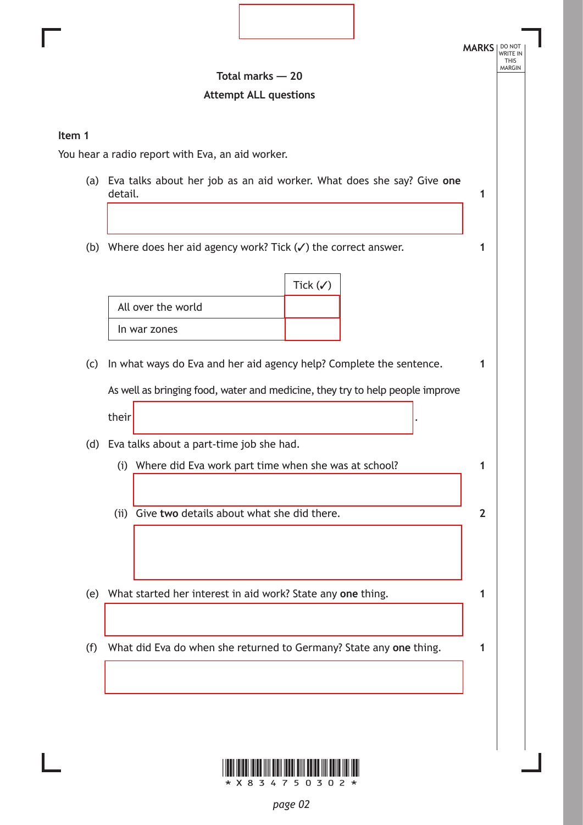

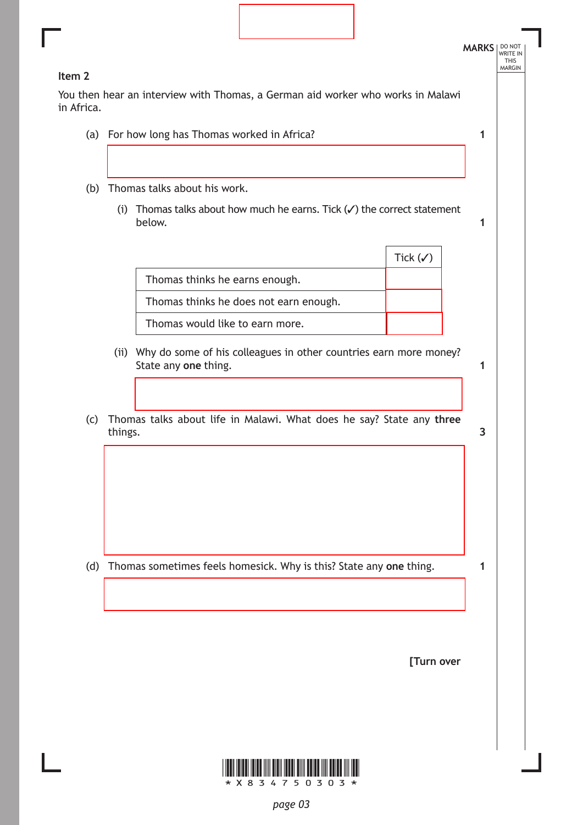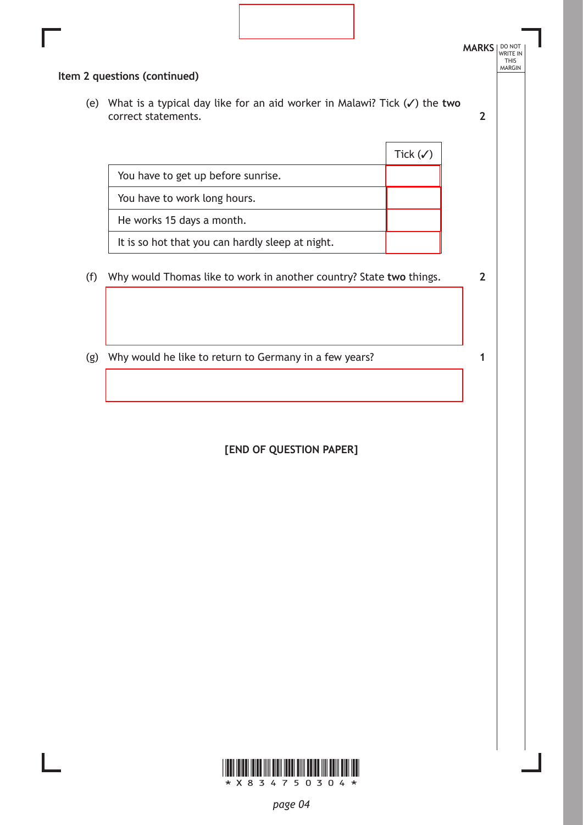| Item 2 questions (continued)<br>(e) What is a typical day like for an aid worker in Malawi? Tick $(\checkmark)$ the two<br>correct statements.<br>Tick $(\checkmark)$<br>You have to get up before sunrise.<br>You have to work long hours.<br>He works 15 days a month.<br>It is so hot that you can hardly sleep at night.<br>Why would Thomas like to work in another country? State two things.<br>(f)<br>Why would he like to return to Germany in a few years?<br>(g)<br>1 | $\overline{2}$<br>$\overline{2}$<br>[END OF QUESTION PAPER] |  | <b>MARKS</b>   DO NOT |
|----------------------------------------------------------------------------------------------------------------------------------------------------------------------------------------------------------------------------------------------------------------------------------------------------------------------------------------------------------------------------------------------------------------------------------------------------------------------------------|-------------------------------------------------------------|--|-----------------------|
|                                                                                                                                                                                                                                                                                                                                                                                                                                                                                  |                                                             |  |                       |
|                                                                                                                                                                                                                                                                                                                                                                                                                                                                                  |                                                             |  |                       |
|                                                                                                                                                                                                                                                                                                                                                                                                                                                                                  |                                                             |  |                       |
|                                                                                                                                                                                                                                                                                                                                                                                                                                                                                  |                                                             |  |                       |
|                                                                                                                                                                                                                                                                                                                                                                                                                                                                                  |                                                             |  |                       |
|                                                                                                                                                                                                                                                                                                                                                                                                                                                                                  |                                                             |  |                       |
|                                                                                                                                                                                                                                                                                                                                                                                                                                                                                  |                                                             |  |                       |
|                                                                                                                                                                                                                                                                                                                                                                                                                                                                                  |                                                             |  |                       |
|                                                                                                                                                                                                                                                                                                                                                                                                                                                                                  |                                                             |  |                       |
|                                                                                                                                                                                                                                                                                                                                                                                                                                                                                  |                                                             |  |                       |
|                                                                                                                                                                                                                                                                                                                                                                                                                                                                                  |                                                             |  |                       |
|                                                                                                                                                                                                                                                                                                                                                                                                                                                                                  |                                                             |  |                       |
|                                                                                                                                                                                                                                                                                                                                                                                                                                                                                  |                                                             |  |                       |



L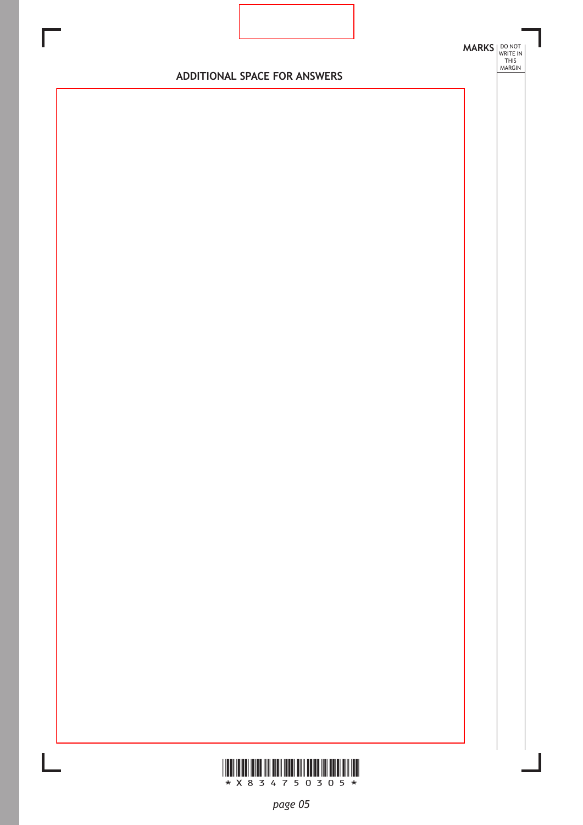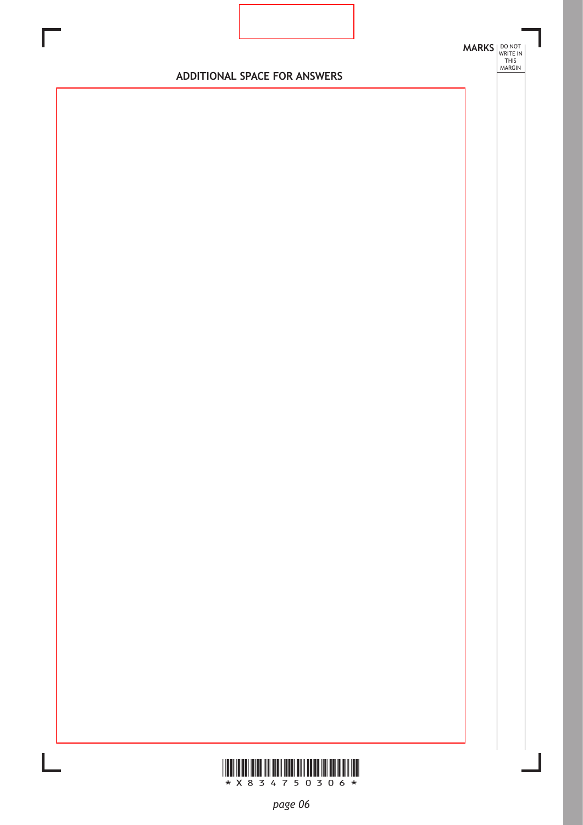

**WWW.WWW.WWW.WWW.WWW.WWW.WWW.WW**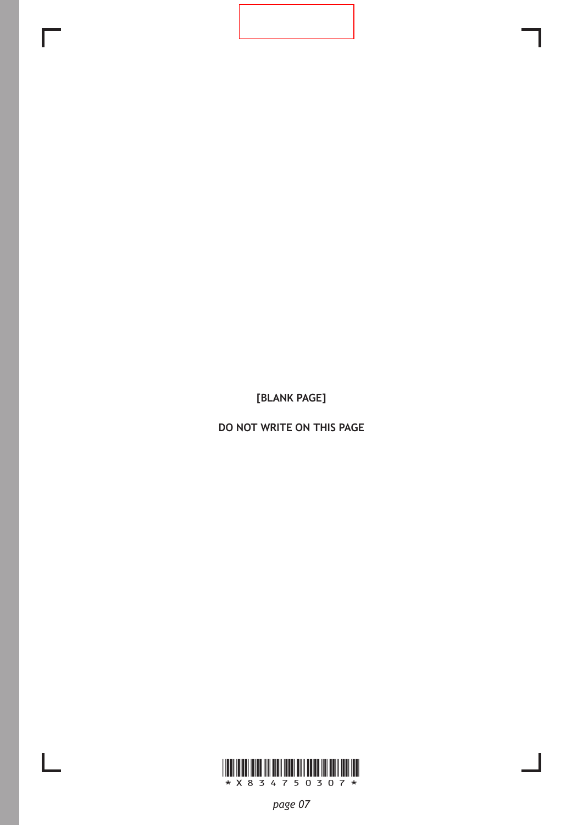**[BLANK PAGE]**

**DO NOT WRITE ON THIS PAGE**